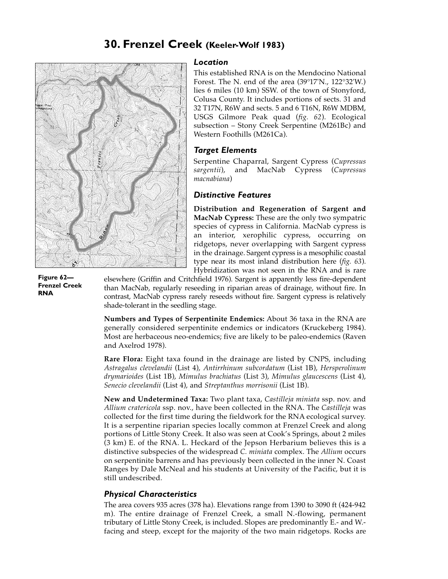# **30. Frenzel Creek (Keeler-Wolf 1983)**



**Figure 62— Frenzel Creek RNA**

### *Location*

This established RNA is on the Mendocino National Forest. The N. end of the area (39°17'N., 122°32'W.) lies 6 miles (10 km) SSW. of the town of Stonyford, Colusa County. It includes portions of sects. 31 and 32 T17N, R6W and sects. 5 and 6 T16N, R6W MDBM, USGS Gilmore Peak quad (*fig. 62*). Ecological subsection – Stony Creek Serpentine (M261Bc) and Western Foothills (M261Ca).

## *Target Elements*

Serpentine Chaparral, Sargent Cypress (*Cupressus sargentii*), and MacNab Cypress (*Cupressus macnabiana*)

### *Distinctive Features*

**Distribution and Regeneration of Sargent and MacNab Cypress:** These are the only two sympatric species of cypress in California. MacNab cypress is an interior, xerophilic cypress, occurring on ridgetops, never overlapping with Sargent cypress in the drainage. Sargent cypress is a mesophilic coastal type near its most inland distribution here (*fig. 63*). Hybridization was not seen in the RNA and is rare

elsewhere (Griffin and Critchfield 1976). Sargent is apparently less fire-dependent than MacNab, regularly reseeding in riparian areas of drainage, without fire. In contrast, MacNab cypress rarely reseeds without fire. Sargent cypress is relatively shade-tolerant in the seedling stage.

**Numbers and Types of Serpentinite Endemics:** About 36 taxa in the RNA are generally considered serpentinite endemics or indicators (Kruckeberg 1984). Most are herbaceous neo-endemics; five are likely to be paleo-endemics (Raven and Axelrod 1978).

**Rare Flora:** Eight taxa found in the drainage are listed by CNPS, including *Astragalus clevelandii* (List 4), *Antirrhinum subcordatum* (List 1B), *Hersperolinum drymarioides* (List 1B), *Mimulus brachiatus* (List 3), *Mimulus glaucescens* (List 4), *Senecio clevelandii* (List 4), and *Streptanthus morrisonii* (List 1B).

**New and Undetermined Taxa:** Two plant taxa, *Castilleja miniata* ssp. nov. and *Allium cratericola* ssp. nov., have been collected in the RNA. The *Castilleja* was collected for the first time during the fieldwork for the RNA ecological survey. It is a serpentine riparian species locally common at Frenzel Creek and along portions of Little Stony Creek. It also was seen at Cook's Springs, about 2 miles (3 km) E. of the RNA. L. Heckard of the Jepson Herbarium believes this is a distinctive subspecies of the widespread *C. miniata* complex. The *Allium* occurs on serpentinite barrens and has previously been collected in the inner N. Coast Ranges by Dale McNeal and his students at University of the Pacific, but it is still undescribed.

### *Physical Characteristics*

The area covers 935 acres (378 ha). Elevations range from 1390 to 3090 ft (424-942 m). The entire drainage of Frenzel Creek, a small N.-flowing, permanent tributary of Little Stony Creek, is included. Slopes are predominantly E.- and W. facing and steep, except for the majority of the two main ridgetops. Rocks are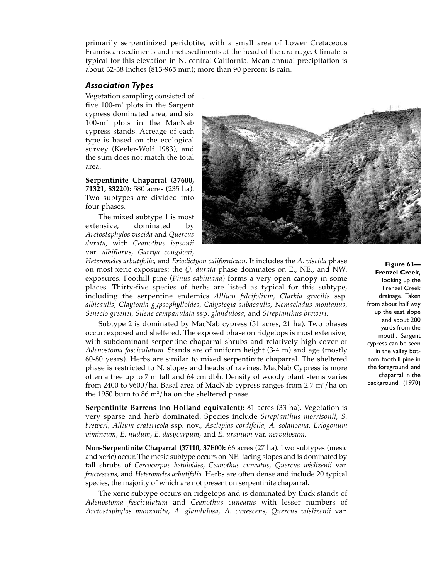primarily serpentinized peridotite, with a small area of Lower Cretaceous Franciscan sediments and metasediments at the head of the drainage. Climate is typical for this elevation in N.-central California. Mean annual precipitation is about 32-38 inches (813-965 mm); more than 90 percent is rain.

# *Association Types*

Vegetation sampling consisted of five 100-m2 plots in the Sargent cypress dominated area, and six 100-m2 plots in the MacNab cypress stands. Acreage of each type is based on the ecological survey (Keeler-Wolf 1983), and the sum does not match the total area.

**Serpentinite Chaparral (37600, 71321, 83220):** 580 acres (235 ha). Two subtypes are divided into four phases.

The mixed subtype 1 is most extensive, dominated by *Arctostaphylos viscida* and *Quercus durata*, with *Ceanothus jepsonii* var. *albiflorus*, *Garrya congdoni*,



*Heteromeles arbutifolia*, and *Eriodictyon californicum*. It includes the *A. viscida* phase on most xeric exposures; the *Q. durata* phase dominates on E., NE., and NW. exposures. Foothill pine (*Pinus sabiniana*) forms a very open canopy in some places. Thirty-five species of herbs are listed as typical for this subtype, including the serpentine endemics *Allium falcifolium*, *Clarkia gracilis* ssp. *albicaulis*, *Claytonia gypsophylloides*, *Calystegia subacaulis*, *Nemacladus montanus*, *Senecio greenei*, *Silene campanulata* ssp. *glandulosa*, and *Streptanthus breweri*.

Subtype 2 is dominated by MacNab cypress (51 acres, 21 ha). Two phases occur: exposed and sheltered. The exposed phase on ridgetops is most extensive, with subdominant serpentine chaparral shrubs and relatively high cover of *Adenostoma fasciculatum*. Stands are of uniform height (3-4 m) and age (mostly 60-80 years). Herbs are similar to mixed serpentinite chaparral. The sheltered phase is restricted to N. slopes and heads of ravines. MacNab Cypress is more often a tree up to 7 m tall and 64 cm dbh. Density of woody plant stems varies from 2400 to 9600/ha. Basal area of MacNab cypress ranges from 2.7 m²/ha on the 1950 burn to 86 m²/ha on the sheltered phase.

**Serpentinite Barrens (no Holland equivalent):** 81 acres (33 ha). Vegetation is very sparse and herb dominated. Species include *Streptanthus morrisonii*, *S. breweri*, *Allium cratericola* ssp. nov., *Asclepias cordifolia*, *A. solanoana*, *Eriogonum vimineum*, *E. nudum*, *E. dasycarpum*, and *E. ursinum* var. *nervulosum*.

**Non-Serpentinite Chaparral (37110, 37E00):** 66 acres (27 ha). Two subtypes (mesic and xeric) occur. The mesic subtype occurs on NE.-facing slopes and is dominated by tall shrubs of *Cercocarpus betuloides*, *Ceanothus cuneatus*, *Quercus wislizenii* var. *fructescens*, and *Heteromeles arbutifolia*. Herbs are often dense and include 20 typical species, the majority of which are not present on serpentinite chaparral.

The xeric subtype occurs on ridgetops and is dominated by thick stands of *Adenostoma fasciculatum* and *Ceanothus cuneatus* with lesser numbers of *Arctostaphylos manzanita*, *A. glandulosa*, *A. canescens*, *Quercus wislizenii* var.

#### **Figure 63— Frenzel Creek,** looking up the Frenzel Creek drainage. Taken from about half way up the east slope and about 200 yards from the mouth. Sargent cypress can be seen in the valley bottom, foothill pine in the foreground, and chaparral in the background. (1970)